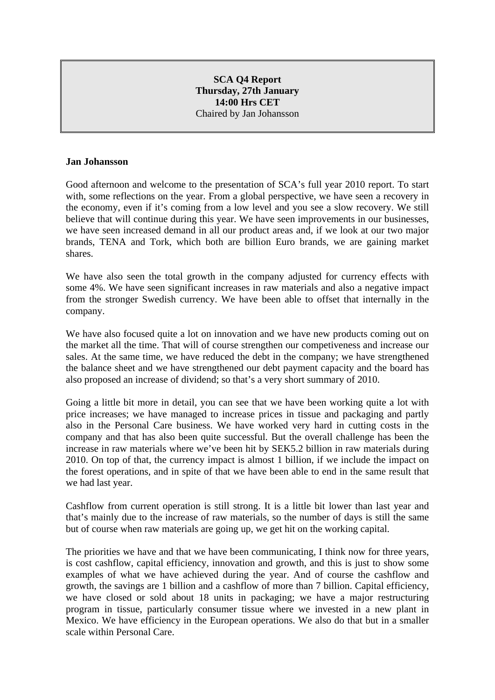## **SCA Q4 Report Thursday, 27th January 14:00 Hrs CET**  Chaired by Jan Johansson

#### **Jan Johansson**

Good afternoon and welcome to the presentation of SCA's full year 2010 report. To start with, some reflections on the year. From a global perspective, we have seen a recovery in the economy, even if it's coming from a low level and you see a slow recovery. We still believe that will continue during this year. We have seen improvements in our businesses, we have seen increased demand in all our product areas and, if we look at our two major brands, TENA and Tork, which both are billion Euro brands, we are gaining market shares.

We have also seen the total growth in the company adjusted for currency effects with some 4%. We have seen significant increases in raw materials and also a negative impact from the stronger Swedish currency. We have been able to offset that internally in the company.

We have also focused quite a lot on innovation and we have new products coming out on the market all the time. That will of course strengthen our competiveness and increase our sales. At the same time, we have reduced the debt in the company; we have strengthened the balance sheet and we have strengthened our debt payment capacity and the board has also proposed an increase of dividend; so that's a very short summary of 2010.

Going a little bit more in detail, you can see that we have been working quite a lot with price increases; we have managed to increase prices in tissue and packaging and partly also in the Personal Care business. We have worked very hard in cutting costs in the company and that has also been quite successful. But the overall challenge has been the increase in raw materials where we've been hit by SEK5.2 billion in raw materials during 2010. On top of that, the currency impact is almost 1 billion, if we include the impact on the forest operations, and in spite of that we have been able to end in the same result that we had last year.

Cashflow from current operation is still strong. It is a little bit lower than last year and that's mainly due to the increase of raw materials, so the number of days is still the same but of course when raw materials are going up, we get hit on the working capital.

The priorities we have and that we have been communicating, I think now for three years, is cost cashflow, capital efficiency, innovation and growth, and this is just to show some examples of what we have achieved during the year. And of course the cashflow and growth, the savings are 1 billion and a cashflow of more than 7 billion. Capital efficiency, we have closed or sold about 18 units in packaging; we have a major restructuring program in tissue, particularly consumer tissue where we invested in a new plant in Mexico. We have efficiency in the European operations. We also do that but in a smaller scale within Personal Care.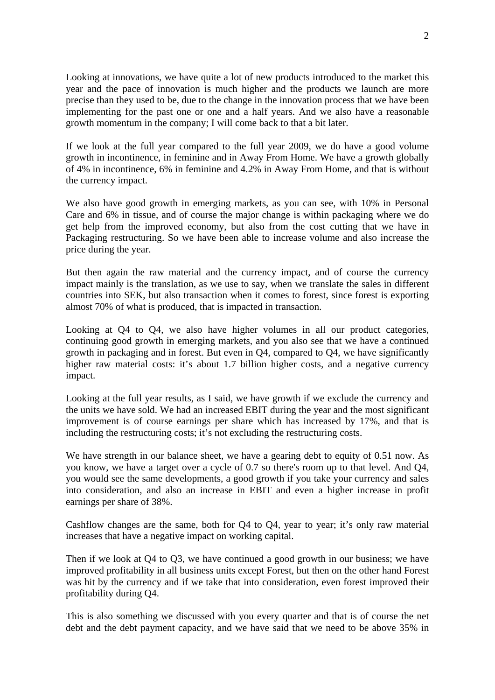Looking at innovations, we have quite a lot of new products introduced to the market this year and the pace of innovation is much higher and the products we launch are more precise than they used to be, due to the change in the innovation process that we have been implementing for the past one or one and a half years. And we also have a reasonable growth momentum in the company; I will come back to that a bit later.

If we look at the full year compared to the full year 2009, we do have a good volume growth in incontinence, in feminine and in Away From Home. We have a growth globally of 4% in incontinence, 6% in feminine and 4.2% in Away From Home, and that is without the currency impact.

We also have good growth in emerging markets, as you can see, with 10% in Personal Care and 6% in tissue, and of course the major change is within packaging where we do get help from the improved economy, but also from the cost cutting that we have in Packaging restructuring. So we have been able to increase volume and also increase the price during the year.

But then again the raw material and the currency impact, and of course the currency impact mainly is the translation, as we use to say, when we translate the sales in different countries into SEK, but also transaction when it comes to forest, since forest is exporting almost 70% of what is produced, that is impacted in transaction.

Looking at Q4 to Q4, we also have higher volumes in all our product categories, continuing good growth in emerging markets, and you also see that we have a continued growth in packaging and in forest. But even in Q4, compared to Q4, we have significantly higher raw material costs: it's about 1.7 billion higher costs, and a negative currency impact.

Looking at the full year results, as I said, we have growth if we exclude the currency and the units we have sold. We had an increased EBIT during the year and the most significant improvement is of course earnings per share which has increased by 17%, and that is including the restructuring costs; it's not excluding the restructuring costs.

We have strength in our balance sheet, we have a gearing debt to equity of 0.51 now. As you know, we have a target over a cycle of 0.7 so there's room up to that level. And Q4, you would see the same developments, a good growth if you take your currency and sales into consideration, and also an increase in EBIT and even a higher increase in profit earnings per share of 38%.

Cashflow changes are the same, both for Q4 to Q4, year to year; it's only raw material increases that have a negative impact on working capital.

Then if we look at Q4 to Q3, we have continued a good growth in our business; we have improved profitability in all business units except Forest, but then on the other hand Forest was hit by the currency and if we take that into consideration, even forest improved their profitability during Q4.

This is also something we discussed with you every quarter and that is of course the net debt and the debt payment capacity, and we have said that we need to be above 35% in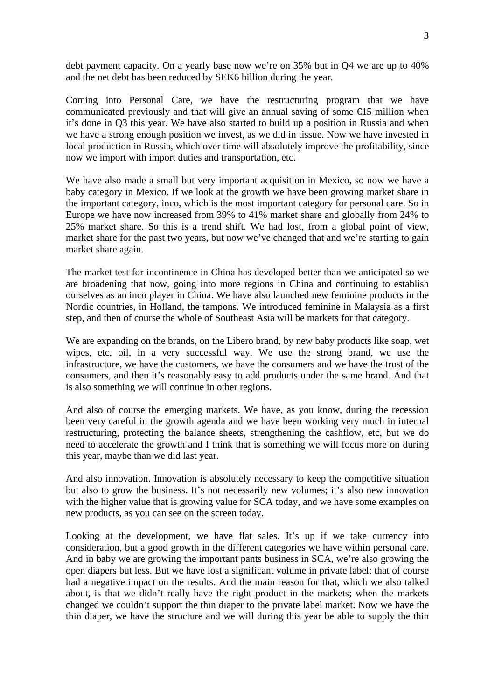debt payment capacity. On a yearly base now we're on 35% but in Q4 we are up to 40% and the net debt has been reduced by SEK6 billion during the year.

Coming into Personal Care, we have the restructuring program that we have communicated previously and that will give an annual saving of some  $\epsilon$ 15 million when it's done in Q3 this year. We have also started to build up a position in Russia and when we have a strong enough position we invest, as we did in tissue. Now we have invested in local production in Russia, which over time will absolutely improve the profitability, since now we import with import duties and transportation, etc.

We have also made a small but very important acquisition in Mexico, so now we have a baby category in Mexico. If we look at the growth we have been growing market share in the important category, inco, which is the most important category for personal care. So in Europe we have now increased from 39% to 41% market share and globally from 24% to 25% market share. So this is a trend shift. We had lost, from a global point of view, market share for the past two years, but now we've changed that and we're starting to gain market share again.

The market test for incontinence in China has developed better than we anticipated so we are broadening that now, going into more regions in China and continuing to establish ourselves as an inco player in China. We have also launched new feminine products in the Nordic countries, in Holland, the tampons. We introduced feminine in Malaysia as a first step, and then of course the whole of Southeast Asia will be markets for that category.

We are expanding on the brands, on the Libero brand, by new baby products like soap, wet wipes, etc, oil, in a very successful way. We use the strong brand, we use the infrastructure, we have the customers, we have the consumers and we have the trust of the consumers, and then it's reasonably easy to add products under the same brand. And that is also something we will continue in other regions.

And also of course the emerging markets. We have, as you know, during the recession been very careful in the growth agenda and we have been working very much in internal restructuring, protecting the balance sheets, strengthening the cashflow, etc, but we do need to accelerate the growth and I think that is something we will focus more on during this year, maybe than we did last year.

And also innovation. Innovation is absolutely necessary to keep the competitive situation but also to grow the business. It's not necessarily new volumes; it's also new innovation with the higher value that is growing value for SCA today, and we have some examples on new products, as you can see on the screen today.

Looking at the development, we have flat sales. It's up if we take currency into consideration, but a good growth in the different categories we have within personal care. And in baby we are growing the important pants business in SCA, we're also growing the open diapers but less. But we have lost a significant volume in private label; that of course had a negative impact on the results. And the main reason for that, which we also talked about, is that we didn't really have the right product in the markets; when the markets changed we couldn't support the thin diaper to the private label market. Now we have the thin diaper, we have the structure and we will during this year be able to supply the thin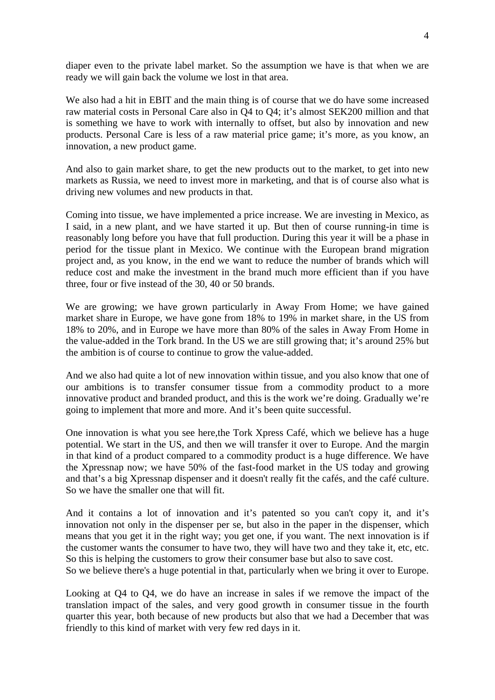diaper even to the private label market. So the assumption we have is that when we are ready we will gain back the volume we lost in that area.

We also had a hit in EBIT and the main thing is of course that we do have some increased raw material costs in Personal Care also in Q4 to Q4; it's almost SEK200 million and that is something we have to work with internally to offset, but also by innovation and new products. Personal Care is less of a raw material price game; it's more, as you know, an innovation, a new product game.

And also to gain market share, to get the new products out to the market, to get into new markets as Russia, we need to invest more in marketing, and that is of course also what is driving new volumes and new products in that.

Coming into tissue, we have implemented a price increase. We are investing in Mexico, as I said, in a new plant, and we have started it up. But then of course running-in time is reasonably long before you have that full production. During this year it will be a phase in period for the tissue plant in Mexico. We continue with the European brand migration project and, as you know, in the end we want to reduce the number of brands which will reduce cost and make the investment in the brand much more efficient than if you have three, four or five instead of the 30, 40 or 50 brands.

We are growing; we have grown particularly in Away From Home; we have gained market share in Europe, we have gone from 18% to 19% in market share, in the US from 18% to 20%, and in Europe we have more than 80% of the sales in Away From Home in the value-added in the Tork brand. In the US we are still growing that; it's around 25% but the ambition is of course to continue to grow the value-added.

And we also had quite a lot of new innovation within tissue, and you also know that one of our ambitions is to transfer consumer tissue from a commodity product to a more innovative product and branded product, and this is the work we're doing. Gradually we're going to implement that more and more. And it's been quite successful.

One innovation is what you see here,the Tork Xpress Café, which we believe has a huge potential. We start in the US, and then we will transfer it over to Europe. And the margin in that kind of a product compared to a commodity product is a huge difference. We have the Xpressnap now; we have 50% of the fast-food market in the US today and growing and that's a big Xpressnap dispenser and it doesn't really fit the cafés, and the café culture. So we have the smaller one that will fit.

And it contains a lot of innovation and it's patented so you can't copy it, and it's innovation not only in the dispenser per se, but also in the paper in the dispenser, which means that you get it in the right way; you get one, if you want. The next innovation is if the customer wants the consumer to have two, they will have two and they take it, etc, etc. So this is helping the customers to grow their consumer base but also to save cost.

So we believe there's a huge potential in that, particularly when we bring it over to Europe.

Looking at Q4 to Q4, we do have an increase in sales if we remove the impact of the translation impact of the sales, and very good growth in consumer tissue in the fourth quarter this year, both because of new products but also that we had a December that was friendly to this kind of market with very few red days in it.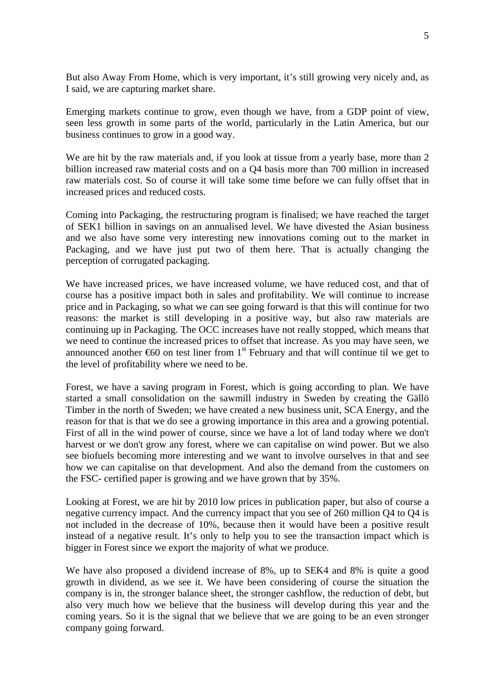But also Away From Home, which is very important, it's still growing very nicely and, as I said, we are capturing market share.

Emerging markets continue to grow, even though we have, from a GDP point of view, seen less growth in some parts of the world, particularly in the Latin America, but our business continues to grow in a good way.

We are hit by the raw materials and, if you look at tissue from a yearly base, more than 2 billion increased raw material costs and on a Q4 basis more than 700 million in increased raw materials cost. So of course it will take some time before we can fully offset that in increased prices and reduced costs.

Coming into Packaging, the restructuring program is finalised; we have reached the target of SEK1 billion in savings on an annualised level. We have divested the Asian business and we also have some very interesting new innovations coming out to the market in Packaging, and we have just put two of them here. That is actually changing the perception of corrugated packaging.

We have increased prices, we have increased volume, we have reduced cost, and that of course has a positive impact both in sales and profitability. We will continue to increase price and in Packaging, so what we can see going forward is that this will continue for two reasons: the market is still developing in a positive way, but also raw materials are continuing up in Packaging. The OCC increases have not really stopped, which means that we need to continue the increased prices to offset that increase. As you may have seen, we announced another  $\epsilon$ 60 on test liner from 1<sup>st</sup> February and that will continue til we get to the level of profitability where we need to be.

Forest, we have a saving program in Forest, which is going according to plan. We have started a small consolidation on the sawmill industry in Sweden by creating the Gällö Timber in the north of Sweden; we have created a new business unit, SCA Energy, and the reason for that is that we do see a growing importance in this area and a growing potential. First of all in the wind power of course, since we have a lot of land today where we don't harvest or we don't grow any forest, where we can capitalise on wind power. But we also see biofuels becoming more interesting and we want to involve ourselves in that and see how we can capitalise on that development. And also the demand from the customers on the FSC- certified paper is growing and we have grown that by 35%.

Looking at Forest, we are hit by 2010 low prices in publication paper, but also of course a negative currency impact. And the currency impact that you see of 260 million Q4 to Q4 is not included in the decrease of 10%, because then it would have been a positive result instead of a negative result. It's only to help you to see the transaction impact which is bigger in Forest since we export the majority of what we produce.

We have also proposed a dividend increase of 8%, up to SEK4 and 8% is quite a good growth in dividend, as we see it. We have been considering of course the situation the company is in, the stronger balance sheet, the stronger cashflow, the reduction of debt, but also very much how we believe that the business will develop during this year and the coming years. So it is the signal that we believe that we are going to be an even stronger company going forward.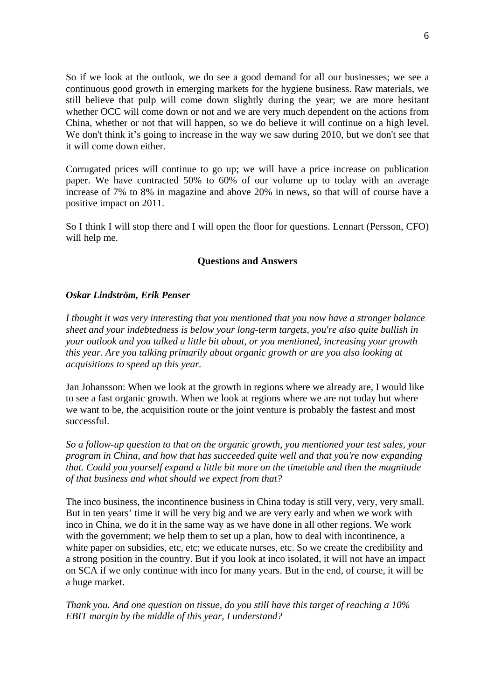So if we look at the outlook, we do see a good demand for all our businesses; we see a continuous good growth in emerging markets for the hygiene business. Raw materials, we still believe that pulp will come down slightly during the year; we are more hesitant whether OCC will come down or not and we are very much dependent on the actions from China, whether or not that will happen, so we do believe it will continue on a high level. We don't think it's going to increase in the way we saw during 2010, but we don't see that it will come down either.

Corrugated prices will continue to go up; we will have a price increase on publication paper. We have contracted 50% to 60% of our volume up to today with an average increase of 7% to 8% in magazine and above 20% in news, so that will of course have a positive impact on 2011.

So I think I will stop there and I will open the floor for questions. Lennart (Persson, CFO) will help me.

## **Questions and Answers**

## *Oskar Lindström, Erik Penser*

*I thought it was very interesting that you mentioned that you now have a stronger balance sheet and your indebtedness is below your long-term targets, you're also quite bullish in your outlook and you talked a little bit about, or you mentioned, increasing your growth this year. Are you talking primarily about organic growth or are you also looking at acquisitions to speed up this year.* 

Jan Johansson: When we look at the growth in regions where we already are, I would like to see a fast organic growth. When we look at regions where we are not today but where we want to be, the acquisition route or the joint venture is probably the fastest and most successful.

*So a follow-up question to that on the organic growth, you mentioned your test sales, your program in China, and how that has succeeded quite well and that you're now expanding that. Could you yourself expand a little bit more on the timetable and then the magnitude of that business and what should we expect from that?* 

The inco business, the incontinence business in China today is still very, very, very small. But in ten years' time it will be very big and we are very early and when we work with inco in China, we do it in the same way as we have done in all other regions. We work with the government; we help them to set up a plan, how to deal with incontinence, a white paper on subsidies, etc, etc; we educate nurses, etc. So we create the credibility and a strong position in the country. But if you look at inco isolated, it will not have an impact on SCA if we only continue with inco for many years. But in the end, of course, it will be a huge market.

*Thank you. And one question on tissue, do you still have this target of reaching a 10% EBIT margin by the middle of this year, I understand?*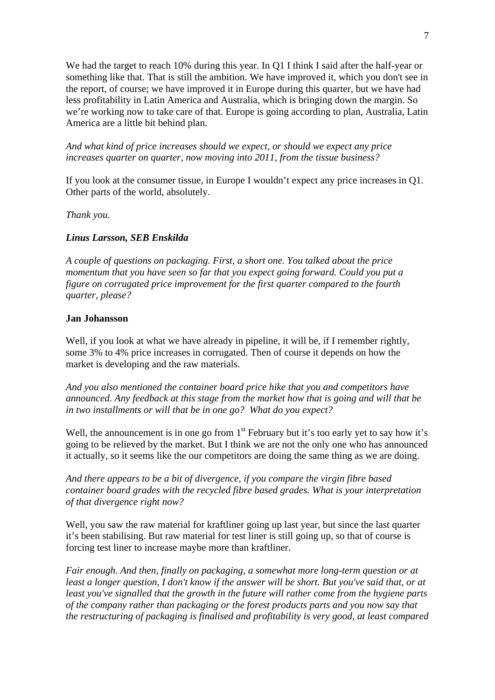We had the target to reach 10% during this year. In Q1 I think I said after the half-year or something like that. That is still the ambition. We have improved it, which you don't see in the report, of course; we have improved it in Europe during this quarter, but we have had less profitability in Latin America and Australia, which is bringing down the margin. So we're working now to take care of that. Europe is going according to plan, Australia, Latin America are a little bit behind plan.

*And what kind of price increases should we expect, or should we expect any price increases quarter on quarter, now moving into 2011, from the tissue business?* 

If you look at the consumer tissue, in Europe I wouldn't expect any price increases in Q1. Other parts of the world, absolutely.

*Thank you.* 

#### *Linus Larsson, SEB Enskilda*

*A couple of questions on packaging. First, a short one. You talked about the price momentum that you have seen so far that you expect going forward. Could you put a figure on corrugated price improvement for the first quarter compared to the fourth quarter, please?* 

#### **Jan Johansson**

Well, if you look at what we have already in pipeline, it will be, if I remember rightly, some 3% to 4% price increases in corrugated. Then of course it depends on how the market is developing and the raw materials.

*And you also mentioned the container board price hike that you and competitors have announced. Any feedback at this stage from the market how that is going and will that be in two installments or will that be in one go? What do you expect?* 

Well, the announcement is in one go from  $1<sup>st</sup>$  February but it's too early yet to say how it's going to be relieved by the market. But I think we are not the only one who has announced it actually, so it seems like the our competitors are doing the same thing as we are doing.

*And there appears to be a bit of divergence, if you compare the virgin fibre based container board grades with the recycled fibre based grades. What is your interpretation of that divergence right now?* 

Well, you saw the raw material for kraftliner going up last year, but since the last quarter it's been stabilising. But raw material for test liner is still going up, so that of course is forcing test liner to increase maybe more than kraftliner.

*Fair enough. And then, finally on packaging, a somewhat more long-term question or at least a longer question, I don't know if the answer will be short. But you've said that, or at least you've signalled that the growth in the future will rather come from the hygiene parts of the company rather than packaging or the forest products parts and you now say that the restructuring of packaging is finalised and profitability is very good, at least compared*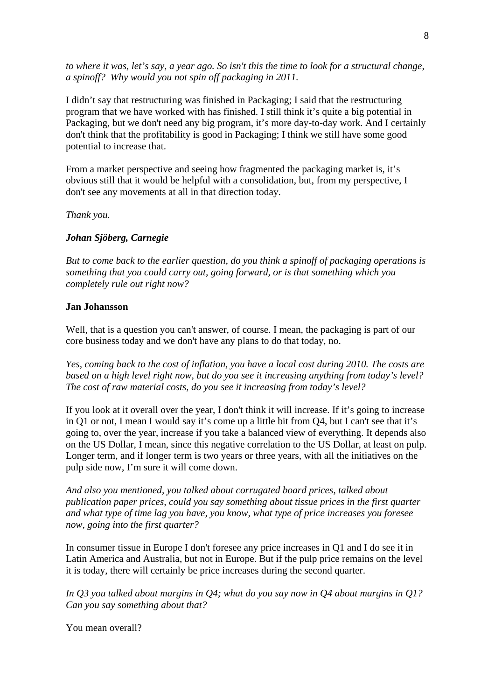*to where it was, let's say, a year ago. So isn't this the time to look for a structural change, a spinoff? Why would you not spin off packaging in 2011.* 

I didn't say that restructuring was finished in Packaging; I said that the restructuring program that we have worked with has finished. I still think it's quite a big potential in Packaging, but we don't need any big program, it's more day-to-day work. And I certainly don't think that the profitability is good in Packaging; I think we still have some good potential to increase that.

From a market perspective and seeing how fragmented the packaging market is, it's obvious still that it would be helpful with a consolidation, but, from my perspective, I don't see any movements at all in that direction today.

*Thank you.* 

## *Johan Sjöberg, Carnegie*

*But to come back to the earlier question, do you think a spinoff of packaging operations is something that you could carry out, going forward, or is that something which you completely rule out right now?* 

## **Jan Johansson**

Well, that is a question you can't answer, of course. I mean, the packaging is part of our core business today and we don't have any plans to do that today, no.

*Yes, coming back to the cost of inflation, you have a local cost during 2010. The costs are based on a high level right now, but do you see it increasing anything from today's level? The cost of raw material costs, do you see it increasing from today's level?* 

If you look at it overall over the year, I don't think it will increase. If it's going to increase in Q1 or not, I mean I would say it's come up a little bit from Q4, but I can't see that it's going to, over the year, increase if you take a balanced view of everything. It depends also on the US Dollar, I mean, since this negative correlation to the US Dollar, at least on pulp. Longer term, and if longer term is two years or three years, with all the initiatives on the pulp side now, I'm sure it will come down.

*And also you mentioned, you talked about corrugated board prices, talked about publication paper prices, could you say something about tissue prices in the first quarter and what type of time lag you have, you know, what type of price increases you foresee now, going into the first quarter?* 

In consumer tissue in Europe I don't foresee any price increases in Q1 and I do see it in Latin America and Australia, but not in Europe. But if the pulp price remains on the level it is today, there will certainly be price increases during the second quarter.

*In Q3 you talked about margins in Q4; what do you say now in Q4 about margins in Q1? Can you say something about that?*

You mean overall?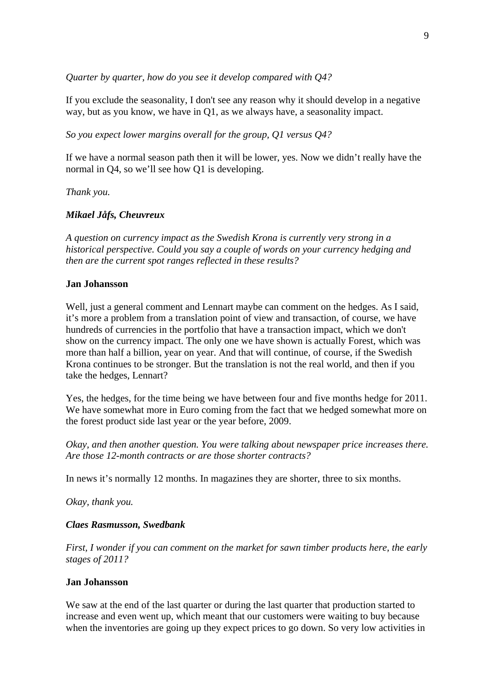*Quarter by quarter, how do you see it develop compared with Q4?* 

If you exclude the seasonality, I don't see any reason why it should develop in a negative way, but as you know, we have in Q1, as we always have, a seasonality impact.

*So you expect lower margins overall for the group, Q1 versus Q4?* 

If we have a normal season path then it will be lower, yes. Now we didn't really have the normal in Q4, so we'll see how Q1 is developing.

*Thank you.* 

## *Mikael Jåfs, Cheuvreux*

*A question on currency impact as the Swedish Krona is currently very strong in a historical perspective. Could you say a couple of words on your currency hedging and then are the current spot ranges reflected in these results?* 

#### **Jan Johansson**

Well, just a general comment and Lennart maybe can comment on the hedges. As I said, it's more a problem from a translation point of view and transaction, of course, we have hundreds of currencies in the portfolio that have a transaction impact, which we don't show on the currency impact. The only one we have shown is actually Forest, which was more than half a billion, year on year. And that will continue, of course, if the Swedish Krona continues to be stronger. But the translation is not the real world, and then if you take the hedges, Lennart?

Yes, the hedges, for the time being we have between four and five months hedge for 2011. We have somewhat more in Euro coming from the fact that we hedged somewhat more on the forest product side last year or the year before, 2009.

*Okay, and then another question. You were talking about newspaper price increases there. Are those 12-month contracts or are those shorter contracts?* 

In news it's normally 12 months. In magazines they are shorter, three to six months.

*Okay, thank you.* 

#### *Claes Rasmusson, Swedbank*

*First, I wonder if you can comment on the market for sawn timber products here, the early stages of 2011?* 

## **Jan Johansson**

We saw at the end of the last quarter or during the last quarter that production started to increase and even went up, which meant that our customers were waiting to buy because when the inventories are going up they expect prices to go down. So very low activities in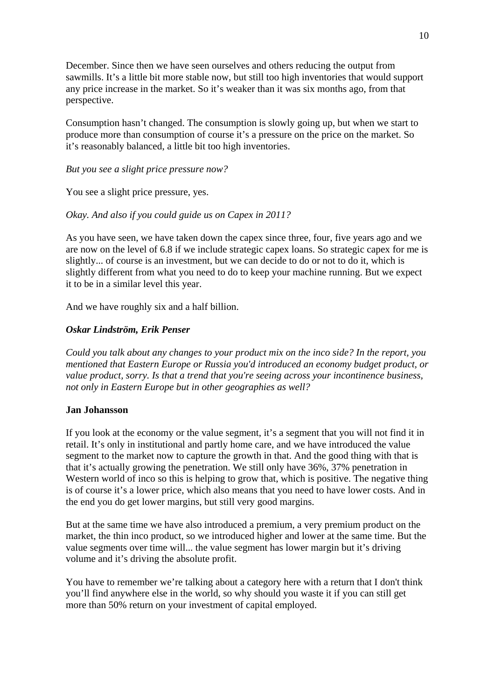December. Since then we have seen ourselves and others reducing the output from sawmills. It's a little bit more stable now, but still too high inventories that would support any price increase in the market. So it's weaker than it was six months ago, from that perspective.

Consumption hasn't changed. The consumption is slowly going up, but when we start to produce more than consumption of course it's a pressure on the price on the market. So it's reasonably balanced, a little bit too high inventories.

## *But you see a slight price pressure now?*

You see a slight price pressure, yes.

## *Okay. And also if you could guide us on Capex in 2011?*

As you have seen, we have taken down the capex since three, four, five years ago and we are now on the level of 6.8 if we include strategic capex loans. So strategic capex for me is slightly... of course is an investment, but we can decide to do or not to do it, which is slightly different from what you need to do to keep your machine running. But we expect it to be in a similar level this year.

And we have roughly six and a half billion.

## *Oskar Lindström, Erik Penser*

*Could you talk about any changes to your product mix on the inco side? In the report, you mentioned that Eastern Europe or Russia you'd introduced an economy budget product, or value product, sorry. Is that a trend that you're seeing across your incontinence business, not only in Eastern Europe but in other geographies as well?* 

## **Jan Johansson**

If you look at the economy or the value segment, it's a segment that you will not find it in retail. It's only in institutional and partly home care, and we have introduced the value segment to the market now to capture the growth in that. And the good thing with that is that it's actually growing the penetration. We still only have 36%, 37% penetration in Western world of inco so this is helping to grow that, which is positive. The negative thing is of course it's a lower price, which also means that you need to have lower costs. And in the end you do get lower margins, but still very good margins.

But at the same time we have also introduced a premium, a very premium product on the market, the thin inco product, so we introduced higher and lower at the same time. But the value segments over time will... the value segment has lower margin but it's driving volume and it's driving the absolute profit.

You have to remember we're talking about a category here with a return that I don't think you'll find anywhere else in the world, so why should you waste it if you can still get more than 50% return on your investment of capital employed.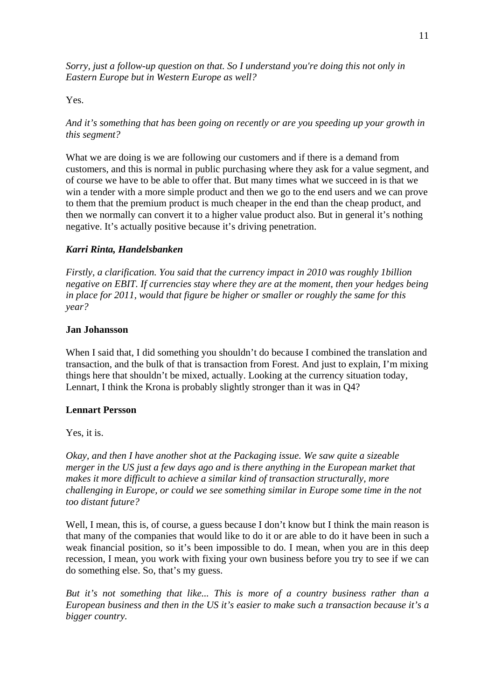*Sorry, just a follow-up question on that. So I understand you're doing this not only in Eastern Europe but in Western Europe as well?* 

## Yes.

*And it's something that has been going on recently or are you speeding up your growth in this segment?* 

What we are doing is we are following our customers and if there is a demand from customers, and this is normal in public purchasing where they ask for a value segment, and of course we have to be able to offer that. But many times what we succeed in is that we win a tender with a more simple product and then we go to the end users and we can prove to them that the premium product is much cheaper in the end than the cheap product, and then we normally can convert it to a higher value product also. But in general it's nothing negative. It's actually positive because it's driving penetration.

#### *Karri Rinta, Handelsbanken*

*Firstly, a clarification. You said that the currency impact in 2010 was roughly 1billion negative on EBIT. If currencies stay where they are at the moment, then your hedges being in place for 2011, would that figure be higher or smaller or roughly the same for this year?* 

#### **Jan Johansson**

When I said that, I did something you shouldn't do because I combined the translation and transaction, and the bulk of that is transaction from Forest. And just to explain, I'm mixing things here that shouldn't be mixed, actually. Looking at the currency situation today, Lennart, I think the Krona is probably slightly stronger than it was in Q4?

#### **Lennart Persson**

Yes, it is.

*Okay, and then I have another shot at the Packaging issue. We saw quite a sizeable merger in the US just a few days ago and is there anything in the European market that makes it more difficult to achieve a similar kind of transaction structurally, more challenging in Europe, or could we see something similar in Europe some time in the not too distant future?* 

Well, I mean, this is, of course, a guess because I don't know but I think the main reason is that many of the companies that would like to do it or are able to do it have been in such a weak financial position, so it's been impossible to do. I mean, when you are in this deep recession, I mean, you work with fixing your own business before you try to see if we can do something else. So, that's my guess.

*But it's not something that like... This is more of a country business rather than a European business and then in the US it's easier to make such a transaction because it's a bigger country.*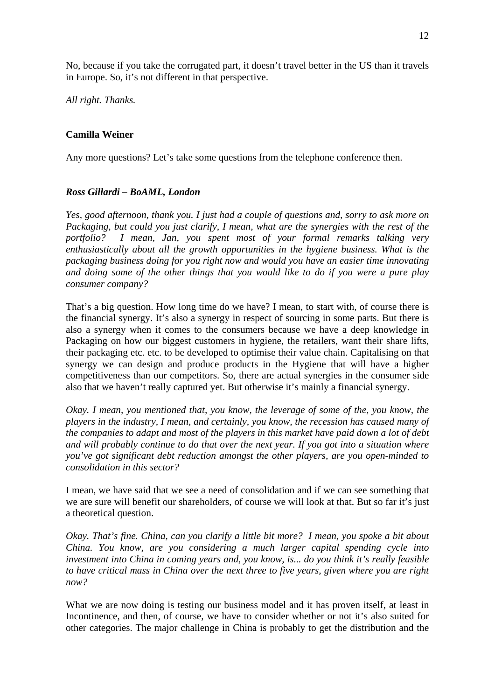No, because if you take the corrugated part, it doesn't travel better in the US than it travels in Europe. So, it's not different in that perspective.

*All right. Thanks.* 

## **Camilla Weiner**

Any more questions? Let's take some questions from the telephone conference then.

## *Ross Gillardi – BoAML, London*

*Yes, good afternoon, thank you. I just had a couple of questions and, sorry to ask more on*  Packaging, but could you just clarify, I mean, what are the synergies with the rest of the *portfolio? I mean, Jan, you spent most of your formal remarks talking very enthusiastically about all the growth opportunities in the hygiene business. What is the packaging business doing for you right now and would you have an easier time innovating and doing some of the other things that you would like to do if you were a pure play consumer company?* 

That's a big question. How long time do we have? I mean, to start with, of course there is the financial synergy. It's also a synergy in respect of sourcing in some parts. But there is also a synergy when it comes to the consumers because we have a deep knowledge in Packaging on how our biggest customers in hygiene, the retailers, want their share lifts, their packaging etc. etc. to be developed to optimise their value chain. Capitalising on that synergy we can design and produce products in the Hygiene that will have a higher competitiveness than our competitors. So, there are actual synergies in the consumer side also that we haven't really captured yet. But otherwise it's mainly a financial synergy.

*Okay. I mean, you mentioned that, you know, the leverage of some of the, you know, the players in the industry, I mean, and certainly, you know, the recession has caused many of the companies to adapt and most of the players in this market have paid down a lot of debt and will probably continue to do that over the next year. If you got into a situation where you've got significant debt reduction amongst the other players, are you open-minded to consolidation in this sector?* 

I mean, we have said that we see a need of consolidation and if we can see something that we are sure will benefit our shareholders, of course we will look at that. But so far it's just a theoretical question.

*Okay. That's fine. China, can you clarify a little bit more? I mean, you spoke a bit about China. You know, are you considering a much larger capital spending cycle into investment into China in coming years and, you know, is... do you think it's really feasible to have critical mass in China over the next three to five years, given where you are right now?* 

What we are now doing is testing our business model and it has proven itself, at least in Incontinence, and then, of course, we have to consider whether or not it's also suited for other categories. The major challenge in China is probably to get the distribution and the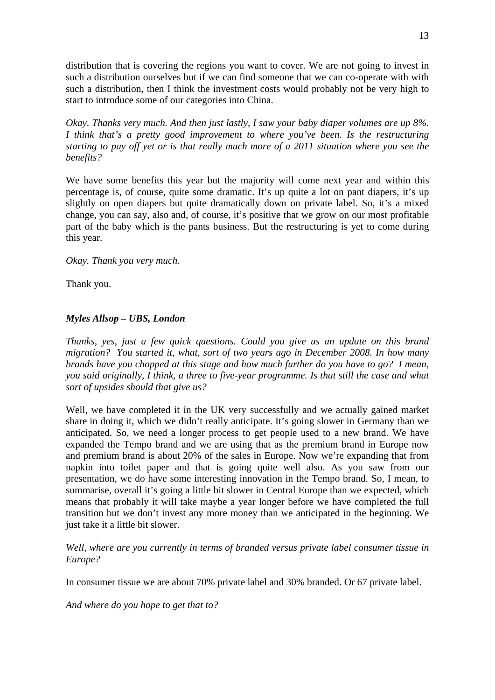distribution that is covering the regions you want to cover. We are not going to invest in such a distribution ourselves but if we can find someone that we can co-operate with with such a distribution, then I think the investment costs would probably not be very high to start to introduce some of our categories into China.

*Okay. Thanks very much. And then just lastly, I saw your baby diaper volumes are up 8%. I think that's a pretty good improvement to where you've been. Is the restructuring starting to pay off yet or is that really much more of a 2011 situation where you see the benefits?* 

We have some benefits this year but the majority will come next year and within this percentage is, of course, quite some dramatic. It's up quite a lot on pant diapers, it's up slightly on open diapers but quite dramatically down on private label. So, it's a mixed change, you can say, also and, of course, it's positive that we grow on our most profitable part of the baby which is the pants business. But the restructuring is yet to come during this year.

*Okay. Thank you very much.* 

Thank you.

# *Myles Allsop – UBS, London*

*Thanks, yes, just a few quick questions. Could you give us an update on this brand migration? You started it, what, sort of two years ago in December 2008. In how many brands have you chopped at this stage and how much further do you have to go? I mean, you said originally, I think, a three to five-year programme. Is that still the case and what sort of upsides should that give us?* 

Well, we have completed it in the UK very successfully and we actually gained market share in doing it, which we didn't really anticipate. It's going slower in Germany than we anticipated. So, we need a longer process to get people used to a new brand. We have expanded the Tempo brand and we are using that as the premium brand in Europe now and premium brand is about 20% of the sales in Europe. Now we're expanding that from napkin into toilet paper and that is going quite well also. As you saw from our presentation, we do have some interesting innovation in the Tempo brand. So, I mean, to summarise, overall it's going a little bit slower in Central Europe than we expected, which means that probably it will take maybe a year longer before we have completed the full transition but we don't invest any more money than we anticipated in the beginning. We just take it a little bit slower.

## *Well, where are you currently in terms of branded versus private label consumer tissue in Europe?*

In consumer tissue we are about 70% private label and 30% branded. Or 67 private label.

*And where do you hope to get that to?*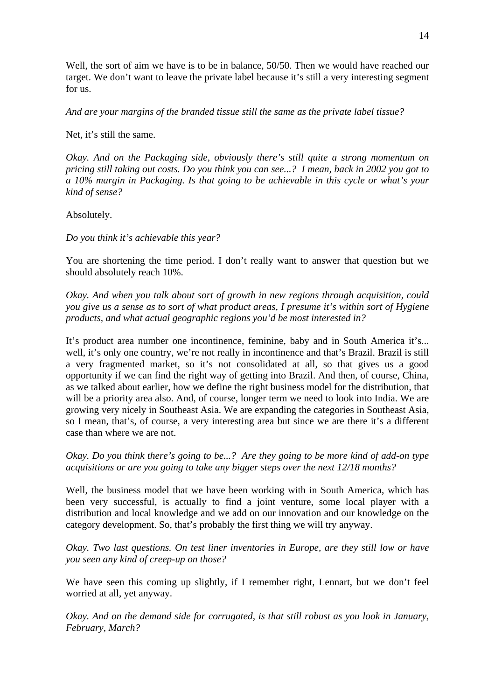Well, the sort of aim we have is to be in balance, 50/50. Then we would have reached our target. We don't want to leave the private label because it's still a very interesting segment for us.

*And are your margins of the branded tissue still the same as the private label tissue?* 

Net, it's still the same.

*Okay. And on the Packaging side, obviously there's still quite a strong momentum on pricing still taking out costs. Do you think you can see...? I mean, back in 2002 you got to a 10% margin in Packaging. Is that going to be achievable in this cycle or what's your kind of sense?* 

Absolutely.

*Do you think it's achievable this year?* 

You are shortening the time period. I don't really want to answer that question but we should absolutely reach 10%.

*Okay. And when you talk about sort of growth in new regions through acquisition, could you give us a sense as to sort of what product areas, I presume it's within sort of Hygiene products, and what actual geographic regions you'd be most interested in?*

It's product area number one incontinence, feminine, baby and in South America it's... well, it's only one country, we're not really in incontinence and that's Brazil. Brazil is still a very fragmented market, so it's not consolidated at all, so that gives us a good opportunity if we can find the right way of getting into Brazil. And then, of course, China, as we talked about earlier, how we define the right business model for the distribution, that will be a priority area also. And, of course, longer term we need to look into India. We are growing very nicely in Southeast Asia. We are expanding the categories in Southeast Asia, so I mean, that's, of course, a very interesting area but since we are there it's a different case than where we are not.

*Okay. Do you think there's going to be...? Are they going to be more kind of add-on type acquisitions or are you going to take any bigger steps over the next 12/18 months?* 

Well, the business model that we have been working with in South America, which has been very successful, is actually to find a joint venture, some local player with a distribution and local knowledge and we add on our innovation and our knowledge on the category development. So, that's probably the first thing we will try anyway.

*Okay. Two last questions. On test liner inventories in Europe, are they still low or have you seen any kind of creep-up on those?* 

We have seen this coming up slightly, if I remember right, Lennart, but we don't feel worried at all, yet anyway.

*Okay. And on the demand side for corrugated, is that still robust as you look in January, February, March?*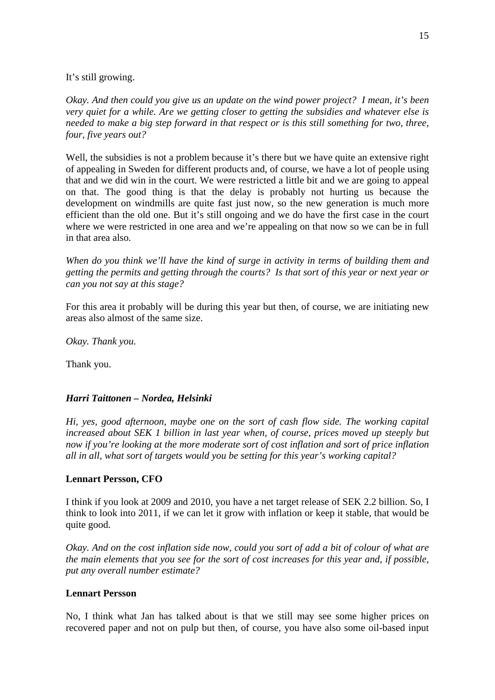It's still growing.

*Okay. And then could you give us an update on the wind power project? I mean, it's been very quiet for a while. Are we getting closer to getting the subsidies and whatever else is needed to make a big step forward in that respect or is this still something for two, three, four, five years out?* 

Well, the subsidies is not a problem because it's there but we have quite an extensive right of appealing in Sweden for different products and, of course, we have a lot of people using that and we did win in the court. We were restricted a little bit and we are going to appeal on that. The good thing is that the delay is probably not hurting us because the development on windmills are quite fast just now, so the new generation is much more efficient than the old one. But it's still ongoing and we do have the first case in the court where we were restricted in one area and we're appealing on that now so we can be in full in that area also.

*When do you think we'll have the kind of surge in activity in terms of building them and getting the permits and getting through the courts? Is that sort of this year or next year or can you not say at this stage?* 

For this area it probably will be during this year but then, of course, we are initiating new areas also almost of the same size.

*Okay. Thank you.* 

Thank you.

## *Harri Taittonen – Nordea, Helsinki*

*Hi, yes, good afternoon, maybe one on the sort of cash flow side. The working capital increased about SEK 1 billion in last year when, of course, prices moved up steeply but now if you're looking at the more moderate sort of cost inflation and sort of price inflation all in all, what sort of targets would you be setting for this year's working capital?* 

## **Lennart Persson, CFO**

I think if you look at 2009 and 2010, you have a net target release of SEK 2.2 billion. So, I think to look into 2011, if we can let it grow with inflation or keep it stable, that would be quite good.

*Okay. And on the cost inflation side now, could you sort of add a bit of colour of what are the main elements that you see for the sort of cost increases for this year and, if possible, put any overall number estimate?* 

#### **Lennart Persson**

No, I think what Jan has talked about is that we still may see some higher prices on recovered paper and not on pulp but then, of course, you have also some oil-based input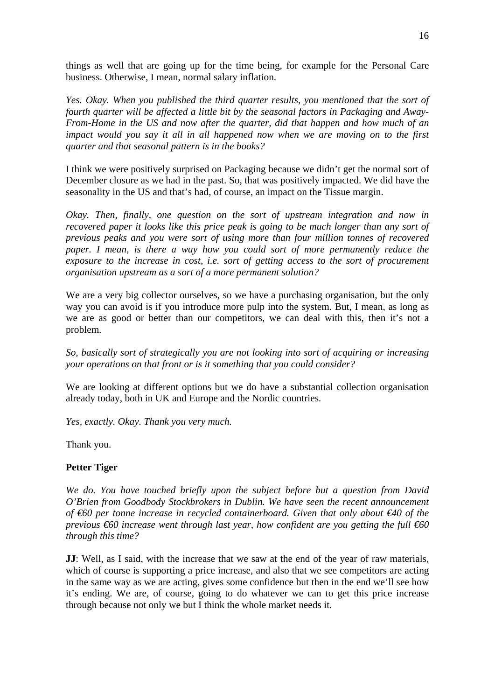things as well that are going up for the time being, for example for the Personal Care business. Otherwise, I mean, normal salary inflation.

*Yes. Okay. When you published the third quarter results, you mentioned that the sort of fourth quarter will be affected a little bit by the seasonal factors in Packaging and Away-From-Home in the US and now after the quarter, did that happen and how much of an impact would you say it all in all happened now when we are moving on to the first quarter and that seasonal pattern is in the books?* 

I think we were positively surprised on Packaging because we didn't get the normal sort of December closure as we had in the past. So, that was positively impacted. We did have the seasonality in the US and that's had, of course, an impact on the Tissue margin.

*Okay. Then, finally, one question on the sort of upstream integration and now in recovered paper it looks like this price peak is going to be much longer than any sort of previous peaks and you were sort of using more than four million tonnes of recovered paper. I mean, is there a way how you could sort of more permanently reduce the exposure to the increase in cost, i.e. sort of getting access to the sort of procurement organisation upstream as a sort of a more permanent solution?* 

We are a very big collector ourselves, so we have a purchasing organisation, but the only way you can avoid is if you introduce more pulp into the system. But, I mean, as long as we are as good or better than our competitors, we can deal with this, then it's not a problem.

*So, basically sort of strategically you are not looking into sort of acquiring or increasing your operations on that front or is it something that you could consider?* 

We are looking at different options but we do have a substantial collection organisation already today, both in UK and Europe and the Nordic countries.

*Yes, exactly. Okay. Thank you very much.* 

Thank you.

## **Petter Tiger**

*We do. You have touched briefly upon the subject before but a question from David O'Brien from Goodbody Stockbrokers in Dublin. We have seen the recent announcement of €60 per tonne increase in recycled containerboard. Given that only about €40 of the previous €60 increase went through last year, how confident are you getting the full €60 through this time?* 

**JJ:** Well, as I said, with the increase that we saw at the end of the year of raw materials, which of course is supporting a price increase, and also that we see competitors are acting in the same way as we are acting, gives some confidence but then in the end we'll see how it's ending. We are, of course, going to do whatever we can to get this price increase through because not only we but I think the whole market needs it.